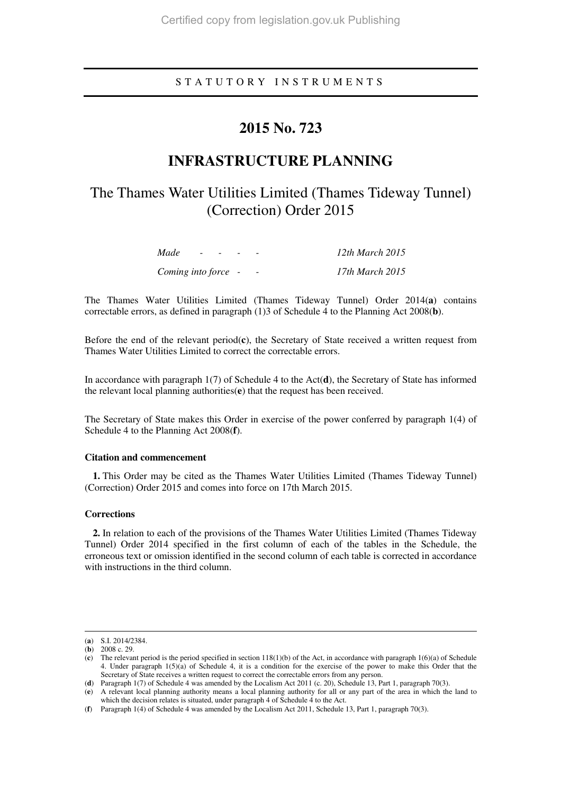## S T A T U T O R Y I N S T R U M E N T S

# **2015 No. 723**

# **INFRASTRUCTURE PLANNING**

# The Thames Water Utilities Limited (Thames Tideway Tunnel) (Correction) Order 2015

| Made                | $ -$ | $\sim$ $\sim$ |  | $12th$ March $2015$ |
|---------------------|------|---------------|--|---------------------|
| Coming into force - |      |               |  | 17th March 2015     |

The Thames Water Utilities Limited (Thames Tideway Tunnel) Order 2014(**a**) contains correctable errors, as defined in paragraph (1)3 of Schedule 4 to the Planning Act 2008(**b**).

Before the end of the relevant period(**c**), the Secretary of State received a written request from Thames Water Utilities Limited to correct the correctable errors.

In accordance with paragraph 1(7) of Schedule 4 to the Act(**d**), the Secretary of State has informed the relevant local planning authorities(**e**) that the request has been received.

The Secretary of State makes this Order in exercise of the power conferred by paragraph 1(4) of Schedule 4 to the Planning Act 2008(**f**).

#### **Citation and commencement**

**1.** This Order may be cited as the Thames Water Utilities Limited (Thames Tideway Tunnel) (Correction) Order 2015 and comes into force on 17th March 2015.

#### **Corrections**

**2.** In relation to each of the provisions of the Thames Water Utilities Limited (Thames Tideway Tunnel) Order 2014 specified in the first column of each of the tables in the Schedule, the erroneous text or omission identified in the second column of each table is corrected in accordance with instructions in the third column.

<u>.</u>

<sup>(</sup>**a**) S.I. 2014/2384.

<sup>(</sup>**b**) 2008 c. 29.

<sup>(</sup>**c**) The relevant period is the period specified in section 118(1)(b) of the Act, in accordance with paragraph 1(6)(a) of Schedule 4. Under paragraph 1(5)(a) of Schedule 4, it is a condition for the exercise of the power to make this Order that the Secretary of State receives a written request to correct the correctable errors from any person.

<sup>(</sup>**d**) Paragraph 1(7) of Schedule 4 was amended by the Localism Act 2011 (c. 20), Schedule 13, Part 1, paragraph 70(3).

<sup>(</sup>**e**) A relevant local planning authority means a local planning authority for all or any part of the area in which the land to which the decision relates is situated, under paragraph 4 of Schedule 4 to the Act.

<sup>(</sup>**f**) Paragraph 1(4) of Schedule 4 was amended by the Localism Act 2011, Schedule 13, Part 1, paragraph 70(3).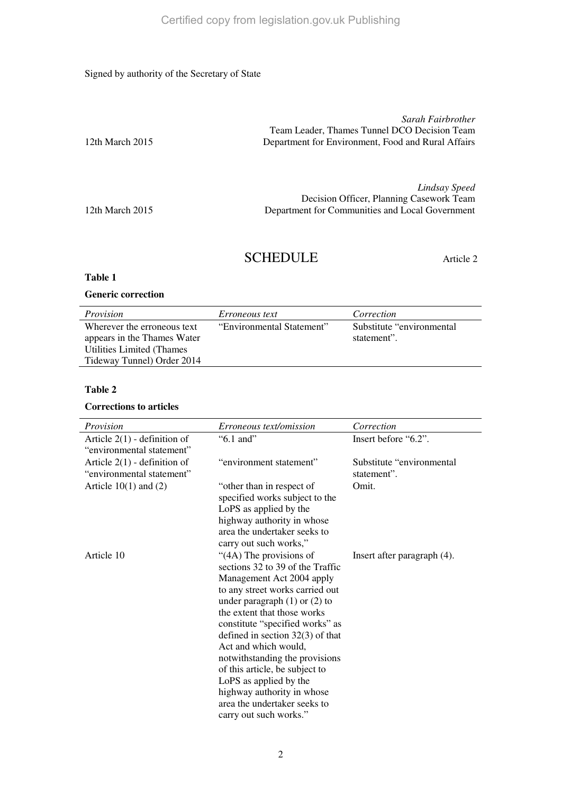### Signed by authority of the Secretary of State

|                   | Sarah Fairbrother                                  |
|-------------------|----------------------------------------------------|
|                   | Team Leader, Thames Tunnel DCO Decision Team       |
| 12th March $2015$ | Department for Environment. Food and Rural Affairs |
|                   |                                                    |

*Lindsay Speed*  Decision Officer, Planning Casework Team 12th March 2015 Department for Communities and Local Government

# SCHEDULE Article 2

## **Table 1**

#### **Generic correction**

| Provision                   | <i>Erroneous text</i>     | Correction                 |
|-----------------------------|---------------------------|----------------------------|
| Wherever the erroneous text | "Environmental Statement" | Substitute "environmental" |
| appears in the Thames Water |                           | statement".                |
| Utilities Limited (Thames)  |                           |                            |
| Tideway Tunnel) Order 2014  |                           |                            |

## **Table 2**

#### **Corrections to articles**

| Provision                                                   | <i>Erroneous text/omission</i>                                                                                                                                                                                                                                                                                                                                                                                                                                                         | Correction                                |
|-------------------------------------------------------------|----------------------------------------------------------------------------------------------------------------------------------------------------------------------------------------------------------------------------------------------------------------------------------------------------------------------------------------------------------------------------------------------------------------------------------------------------------------------------------------|-------------------------------------------|
| Article $2(1)$ - definition of<br>"environmental statement" | $"6.1$ and"                                                                                                                                                                                                                                                                                                                                                                                                                                                                            | Insert before "6.2".                      |
| Article $2(1)$ - definition of<br>"environmental statement" | "environment statement"                                                                                                                                                                                                                                                                                                                                                                                                                                                                | Substitute "environmental"<br>statement". |
| Article $10(1)$ and $(2)$                                   | "other than in respect of<br>specified works subject to the<br>LoPS as applied by the<br>highway authority in whose<br>area the undertaker seeks to<br>carry out such works,"                                                                                                                                                                                                                                                                                                          | Omit.                                     |
| Article 10                                                  | "(4A) The provisions of<br>sections 32 to 39 of the Traffic<br>Management Act 2004 apply<br>to any street works carried out<br>under paragraph $(1)$ or $(2)$ to<br>the extent that those works<br>constitute "specified works" as<br>defined in section $32(3)$ of that<br>Act and which would,<br>notwithstanding the provisions<br>of this article, be subject to<br>LoPS as applied by the<br>highway authority in whose<br>area the undertaker seeks to<br>carry out such works." | Insert after paragraph (4).               |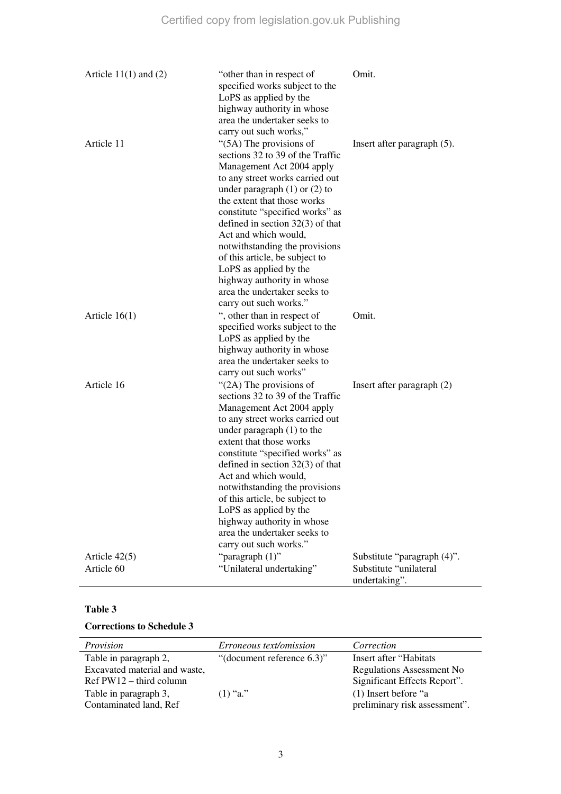| Article $11(1)$ and $(2)$     | "other than in respect of<br>specified works subject to the<br>LoPS as applied by the<br>highway authority in whose<br>area the undertaker seeks to<br>carry out such works,"                                                                                                                                                                                                                                                                                                                   | Omit.                                                                  |
|-------------------------------|-------------------------------------------------------------------------------------------------------------------------------------------------------------------------------------------------------------------------------------------------------------------------------------------------------------------------------------------------------------------------------------------------------------------------------------------------------------------------------------------------|------------------------------------------------------------------------|
| Article 11                    | $\degree$ (5A) The provisions of<br>sections 32 to 39 of the Traffic<br>Management Act 2004 apply<br>to any street works carried out<br>under paragraph $(1)$ or $(2)$ to<br>the extent that those works<br>constitute "specified works" as<br>defined in section $32(3)$ of that<br>Act and which would,<br>notwithstanding the provisions<br>of this article, be subject to<br>LoPS as applied by the<br>highway authority in whose<br>area the undertaker seeks to<br>carry out such works." | Insert after paragraph $(5)$ .                                         |
| Article $16(1)$               | ", other than in respect of<br>specified works subject to the<br>LoPS as applied by the<br>highway authority in whose<br>area the undertaker seeks to<br>carry out such works"                                                                                                                                                                                                                                                                                                                  | Omit.                                                                  |
| Article 16                    | "(2A) The provisions of<br>sections 32 to 39 of the Traffic<br>Management Act 2004 apply<br>to any street works carried out<br>under paragraph $(1)$ to the<br>extent that those works<br>constitute "specified works" as<br>defined in section $32(3)$ of that<br>Act and which would,<br>notwithstanding the provisions<br>of this article, be subject to<br>LoPS as applied by the<br>highway authority in whose<br>area the undertaker seeks to<br>carry out such works."                   | Insert after paragraph $(2)$                                           |
| Article $42(5)$<br>Article 60 | "paragraph $(1)$ "<br>"Unilateral undertaking"                                                                                                                                                                                                                                                                                                                                                                                                                                                  | Substitute "paragraph (4)".<br>Substitute "unilateral<br>undertaking". |

## **Table 3**

### **Corrections to Schedule 3**

| Provision                     | <i>Erroneous text/omission</i> | Correction                       |
|-------------------------------|--------------------------------|----------------------------------|
| Table in paragraph 2,         | "(document reference 6.3)"     | Insert after "Habitats"          |
| Excavated material and waste, |                                | <b>Regulations Assessment No</b> |
| $Ref PW12 - third column$     |                                | Significant Effects Report".     |
| Table in paragraph 3,         | $(1)$ "a."                     | $(1)$ Insert before "a           |
| Contaminated land, Ref        |                                | preliminary risk assessment".    |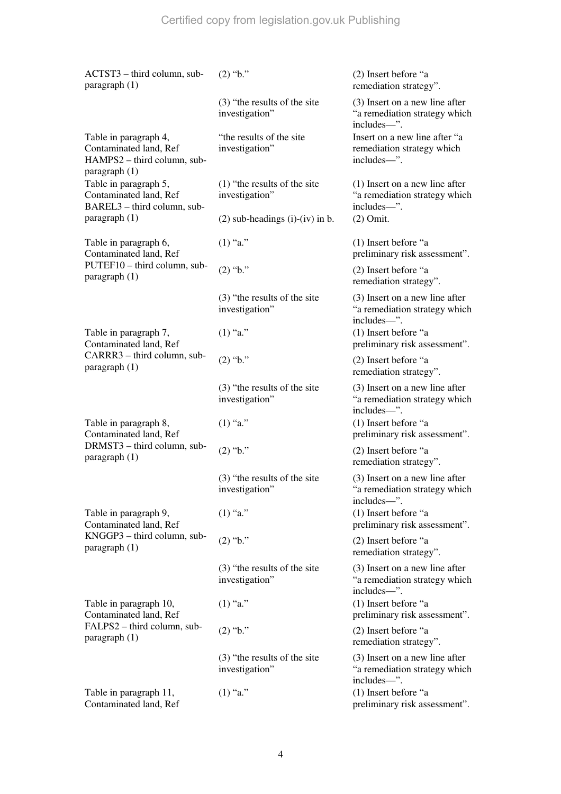| ACTST3 - third column, sub-<br>paragraph $(1)$                                                    | $(2)$ "b."                                        | (2) Insert before "a<br>remediation strategy".                                   |
|---------------------------------------------------------------------------------------------------|---------------------------------------------------|----------------------------------------------------------------------------------|
|                                                                                                   | (3) "the results of the site<br>investigation"    | (3) Insert on a new line after<br>"a remediation strategy which<br>includes-".   |
| Table in paragraph 4,<br>Contaminated land, Ref<br>HAMPS2 - third column, sub-<br>paragraph $(1)$ | "the results of the site"<br>investigation"       | Insert on a new line after "a<br>remediation strategy which<br>includes-".       |
| Table in paragraph 5,<br>Contaminated land, Ref<br>BAREL3 - third column, sub-                    | $(1)$ "the results of the site"<br>investigation" | $(1)$ Insert on a new line after<br>"a remediation strategy which<br>includes-". |
| paragraph $(1)$                                                                                   | $(2)$ sub-headings $(i)-(iv)$ in b.               | $(2)$ Omit.                                                                      |
| Table in paragraph 6,<br>Contaminated land, Ref                                                   | $(1)$ "a."                                        | (1) Insert before "a<br>preliminary risk assessment".                            |
| PUTEF10 - third column, sub-<br>paragraph (1)                                                     | $(2)$ "b."                                        | (2) Insert before "a<br>remediation strategy".                                   |
|                                                                                                   | (3) "the results of the site<br>investigation"    | (3) Insert on a new line after<br>"a remediation strategy which<br>includes-".   |
| Table in paragraph 7,<br>Contaminated land, Ref                                                   | $(1)$ "a."                                        | (1) Insert before "a<br>preliminary risk assessment".                            |
| CARRR3 - third column, sub-<br>paragraph $(1)$                                                    | $(2)$ "b."                                        | (2) Insert before "a<br>remediation strategy".                                   |
|                                                                                                   | (3) "the results of the site<br>investigation"    | (3) Insert on a new line after<br>"a remediation strategy which<br>includes-".   |
| Table in paragraph 8,<br>Contaminated land, Ref                                                   | $(1)$ "a."                                        | (1) Insert before "a<br>preliminary risk assessment".                            |
| DRMST3 - third column, sub-<br>paragraph (1)                                                      | $(2)$ "b."                                        | (2) Insert before "a<br>remediation strategy".                                   |
|                                                                                                   | (3) "the results of the site<br>investigation"    | (3) Insert on a new line after<br>"a remediation strategy which<br>includes—".   |
| Table in paragraph 9,<br>Contaminated land, Ref                                                   | $(1)$ "a."                                        | (1) Insert before "a<br>preliminary risk assessment".                            |
| KNGGP3 - third column, sub-<br>paragraph $(1)$                                                    | $(2)$ "b."                                        | (2) Insert before "a<br>remediation strategy".                                   |
|                                                                                                   | $(3)$ "the results of the site"<br>investigation" | (3) Insert on a new line after<br>"a remediation strategy which<br>includes-".   |
| Table in paragraph 10,<br>Contaminated land, Ref                                                  | $(1)$ "a."                                        | (1) Insert before "a<br>preliminary risk assessment".                            |
| FALPS2 – third column, sub-<br>paragnh(1)                                                         | $(2)$ "b."                                        | (2) Insert before "a<br>remediation strategy".                                   |
|                                                                                                   | $(3)$ "the results of the site"<br>investigation" | (3) Insert on a new line after<br>"a remediation strategy which<br>includes-".   |
| Table in paragraph 11,<br>Contaminated land, Ref                                                  | $(1)$ "a."                                        | (1) Insert before "a<br>preliminary risk assessment".                            |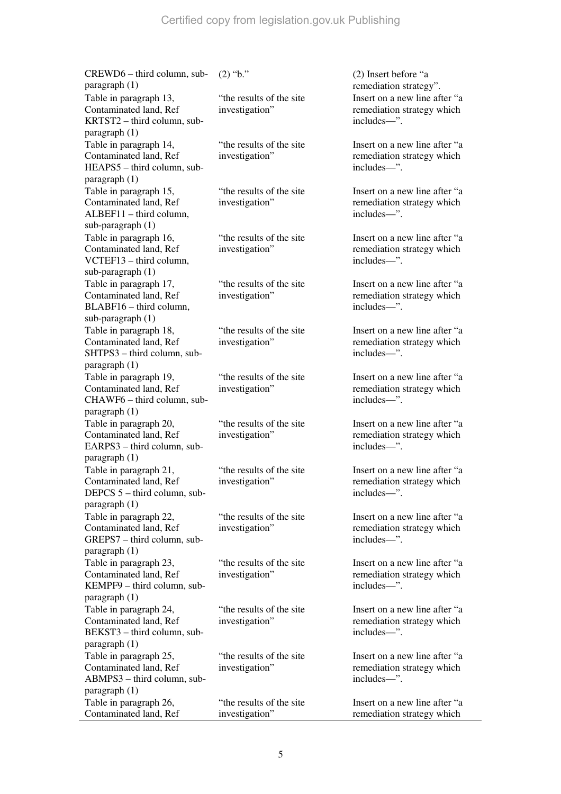CREWD6 – third column, subparagraph (1) (2)  $\text{``b."}$  (2) Insert before "a remediation strategy". Table in paragraph 13, Contaminated land, Ref KRTST2 – third column, subparagraph (1) "the results of the site investigation" Insert on a new line after "a remediation strategy which includes—". Table in paragraph 14, Contaminated land, Ref HEAPS5 – third column, subparagraph (1) "the results of the site investigation" Insert on a new line after "a remediation strategy which includes—". Table in paragraph 15, Contaminated land, Ref ALBEF11 – third column, sub-paragraph (1) "the results of the site investigation" Insert on a new line after "a remediation strategy which includes—". Table in paragraph 16, Contaminated land, Ref VCTEF13 – third column, sub-paragraph (1) "the results of the site investigation" Insert on a new line after "a remediation strategy which includes—". Table in paragraph 17, Contaminated land, Ref BLABF16 – third column, sub-paragraph (1) "the results of the site investigation" Insert on a new line after "a remediation strategy which includes—". Table in paragraph 18, Contaminated land, Ref SHTPS3 – third column, subparagraph (1) "the results of the site investigation" Insert on a new line after "a remediation strategy which includes—". Table in paragraph 19, Contaminated land, Ref CHAWF6 – third column, subparagraph (1) "the results of the site investigation" Insert on a new line after "a remediation strategy which includes—". Table in paragraph 20, Contaminated land, Ref EARPS3 – third column, subparagraph (1) "the results of the site investigation" Insert on a new line after "a remediation strategy which includes—". Table in paragraph 21, Contaminated land, Ref DEPCS 5 – third column, subparagraph (1) "the results of the site investigation" Insert on a new line after "a remediation strategy which includes—". Table in paragraph 22, Contaminated land, Ref GREPS7 – third column, subparagraph (1) "the results of the site investigation" Insert on a new line after "a remediation strategy which includes—". Table in paragraph 23, Contaminated land, Ref KEMPF9 – third column, subparagraph (1) "the results of the site investigation" Insert on a new line after "a remediation strategy which includes—". Table in paragraph 24, Contaminated land, Ref BEKST3 – third column, subparagraph (1) "the results of the site investigation" Insert on a new line after "a remediation strategy which includes—". Table in paragraph 25, Contaminated land, Ref ABMPS3 – third column, subparagraph (1) "the results of the site investigation" Insert on a new line after "a remediation strategy which includes—". Table in paragraph 26, Contaminated land, Ref "the results of the site investigation" Insert on a new line after "a remediation strategy which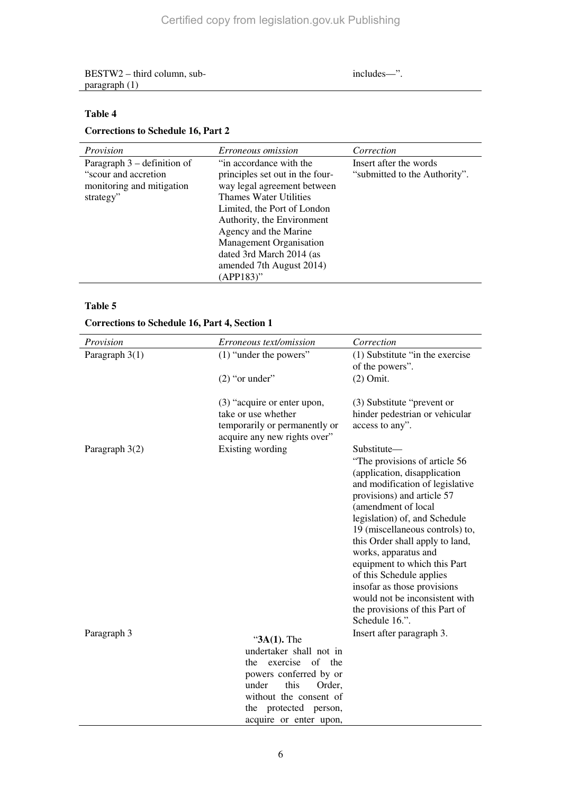BESTW2 – third column, subparagraph (1)

includes—".

# **Table 4**

# **Corrections to Schedule 16, Part 2**

| Provision                                                                                        | Erroneous omission                                                                                                                                                                                                                                                                                                  | Correction                                              |
|--------------------------------------------------------------------------------------------------|---------------------------------------------------------------------------------------------------------------------------------------------------------------------------------------------------------------------------------------------------------------------------------------------------------------------|---------------------------------------------------------|
| Paragraph $3$ – definition of<br>"scour and accretion"<br>monitoring and mitigation<br>strategy" | "in accordance with the<br>principles set out in the four-<br>way legal agreement between<br>Thames Water Utilities<br>Limited, the Port of London<br>Authority, the Environment<br>Agency and the Marine<br><b>Management Organisation</b><br>dated 3rd March 2014 (as<br>amended 7th August 2014)<br>$(APP183)$ " | Insert after the words<br>"submitted to the Authority". |
|                                                                                                  |                                                                                                                                                                                                                                                                                                                     |                                                         |

## **Table 5**

## **Corrections to Schedule 16, Part 4, Section 1**

| Provision        | Erroneous text/omission                                                                                                                                                                                   | Correction                                                                                                                                                                                                                                                                  |
|------------------|-----------------------------------------------------------------------------------------------------------------------------------------------------------------------------------------------------------|-----------------------------------------------------------------------------------------------------------------------------------------------------------------------------------------------------------------------------------------------------------------------------|
| Paragraph 3(1)   | $(1)$ "under the powers"                                                                                                                                                                                  | (1) Substitute "in the exercise<br>of the powers".                                                                                                                                                                                                                          |
|                  | $(2)$ "or under"                                                                                                                                                                                          | $(2)$ Omit.                                                                                                                                                                                                                                                                 |
|                  | (3) "acquire or enter upon,<br>take or use whether<br>temporarily or permanently or<br>acquire any new rights over"                                                                                       | (3) Substitute "prevent or<br>hinder pedestrian or vehicular<br>access to any".                                                                                                                                                                                             |
| Paragraph $3(2)$ | Existing wording                                                                                                                                                                                          | Substitute—<br>"The provisions of article 56<br>(application, disapplication<br>and modification of legislative<br>provisions) and article 57<br>(amendment of local<br>legislation) of, and Schedule<br>19 (miscellaneous controls) to,<br>this Order shall apply to land, |
|                  |                                                                                                                                                                                                           | works, apparatus and<br>equipment to which this Part<br>of this Schedule applies<br>insofar as those provisions<br>would not be inconsistent with<br>the provisions of this Part of<br>Schedule 16.".                                                                       |
| Paragraph 3      | " $3A(1)$ . The<br>undertaker shall not in<br>of<br>the exercise<br>the<br>powers conferred by or<br>this<br>under<br>Order,<br>without the consent of<br>the protected person,<br>acquire or enter upon, | Insert after paragraph 3.                                                                                                                                                                                                                                                   |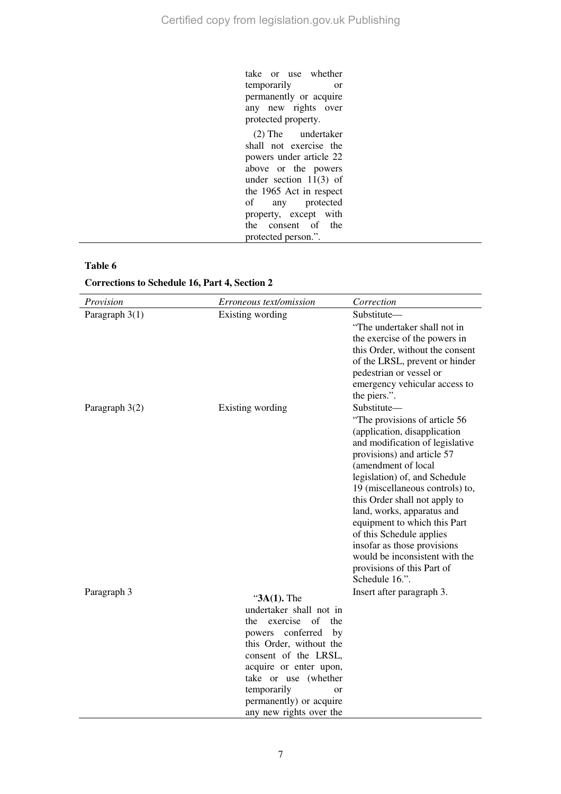take or use whether temporarily or permanently or acquire any new rights over protected property. (2) The undertaker shall not exercise the powers under article 22 above or the powers under section  $11(3)$  of the 1965 Act in respect<br>of any protected protected property, except with the consent of the protected person.".

### **Table 6**

**Corrections to Schedule 16, Part 4, Section 2** 

| Provision        | <i>Erroneous text/omission</i>                                                                                                                                                                                                                                                    | Correction                                                                                                                                                                                                                                                                                                                                                                                                                                                                           |
|------------------|-----------------------------------------------------------------------------------------------------------------------------------------------------------------------------------------------------------------------------------------------------------------------------------|--------------------------------------------------------------------------------------------------------------------------------------------------------------------------------------------------------------------------------------------------------------------------------------------------------------------------------------------------------------------------------------------------------------------------------------------------------------------------------------|
| Paragraph $3(1)$ | Existing wording                                                                                                                                                                                                                                                                  | Substitute—<br>"The undertaker shall not in<br>the exercise of the powers in<br>this Order, without the consent<br>of the LRSL, prevent or hinder<br>pedestrian or vessel or<br>emergency vehicular access to<br>the piers.".                                                                                                                                                                                                                                                        |
| Paragraph 3(2)   | Existing wording                                                                                                                                                                                                                                                                  | Substitute-<br>"The provisions of article 56<br>(application, disapplication<br>and modification of legislative<br>provisions) and article 57<br>(amendment of local<br>legislation) of, and Schedule<br>19 (miscellaneous controls) to,<br>this Order shall not apply to<br>land, works, apparatus and<br>equipment to which this Part<br>of this Schedule applies<br>insofar as those provisions<br>would be inconsistent with the<br>provisions of this Part of<br>Schedule 16.". |
| Paragraph 3      | " $3A(1)$ . The<br>undertaker shall not in<br>exercise of<br>the<br>the<br>conferred by<br>powers<br>this Order, without the<br>consent of the LRSL,<br>acquire or enter upon,<br>take or use (whether<br>temporarily<br>or<br>permanently) or acquire<br>any new rights over the | Insert after paragraph 3.                                                                                                                                                                                                                                                                                                                                                                                                                                                            |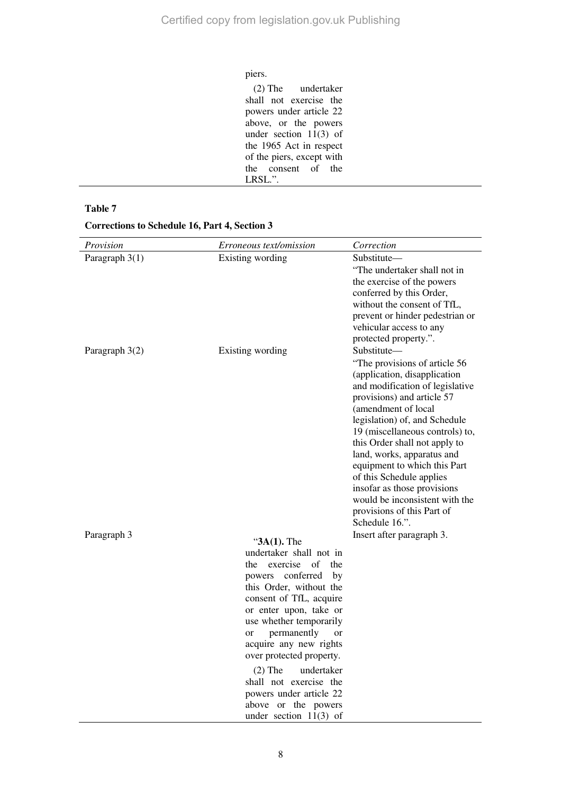#### piers.

(2) The undertaker shall not exercise the powers under article 22 above, or the powers under section  $11(3)$  of the 1965 Act in respect of the piers, except with the consent of the LRSL.".

#### **Table 7**

#### **Corrections to Schedule 16, Part 4, Section 3**

| Provision        | Erroneous text/omission                                                                                                                                                                                                                                                                                                                                                                                                                | Correction                                                                                                                                                                                                                                                                                                                                                                                                                                                                           |
|------------------|----------------------------------------------------------------------------------------------------------------------------------------------------------------------------------------------------------------------------------------------------------------------------------------------------------------------------------------------------------------------------------------------------------------------------------------|--------------------------------------------------------------------------------------------------------------------------------------------------------------------------------------------------------------------------------------------------------------------------------------------------------------------------------------------------------------------------------------------------------------------------------------------------------------------------------------|
| Paragraph $3(1)$ | Existing wording                                                                                                                                                                                                                                                                                                                                                                                                                       | Substitute—<br>"The undertaker shall not in<br>the exercise of the powers<br>conferred by this Order,<br>without the consent of TfL,<br>prevent or hinder pedestrian or<br>vehicular access to any<br>protected property.".                                                                                                                                                                                                                                                          |
| Paragraph 3(2)   | Existing wording                                                                                                                                                                                                                                                                                                                                                                                                                       | Substitute-<br>"The provisions of article 56<br>(application, disapplication<br>and modification of legislative<br>provisions) and article 57<br>(amendment of local<br>legislation) of, and Schedule<br>19 (miscellaneous controls) to,<br>this Order shall not apply to<br>land, works, apparatus and<br>equipment to which this Part<br>of this Schedule applies<br>insofar as those provisions<br>would be inconsistent with the<br>provisions of this Part of<br>Schedule 16.". |
| Paragraph 3      | " $3A(1)$ . The<br>undertaker shall not in<br>exercise<br>of<br>the<br>the<br>conferred<br>powers<br>by<br>this Order, without the<br>consent of TfL, acquire<br>or enter upon, take or<br>use whether temporarily<br>permanently<br>or<br>or<br>acquire any new rights<br>over protected property.<br>$(2)$ The<br>undertaker<br>shall not exercise the<br>powers under article 22<br>above or the powers<br>under section $11(3)$ of | Insert after paragraph 3.                                                                                                                                                                                                                                                                                                                                                                                                                                                            |